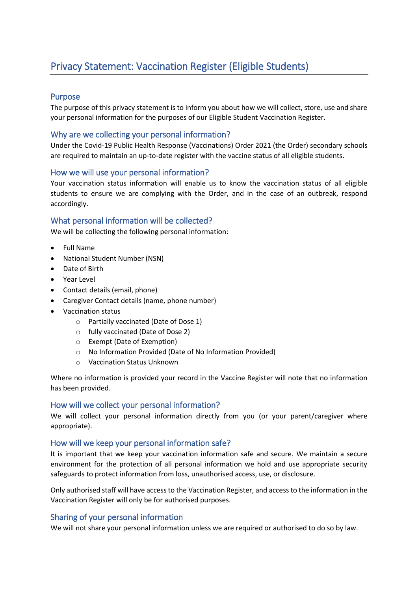## Purpose

The purpose of this privacy statement is to inform you about how we will collect, store, use and share your personal information for the purposes of our Eligible Student Vaccination Register.

# Why are we collecting your personal information?

Under the Covid-19 Public Health Response (Vaccinations) Order 2021 (the Order) secondary schools are required to maintain an up-to-date register with the vaccine status of all eligible students.

### How we will use your personal information?

Your vaccination status information will enable us to know the vaccination status of all eligible students to ensure we are complying with the Order, and in the case of an outbreak, respond accordingly.

### What personal information will be collected?

We will be collecting the following personal information:

- Full Name
- National Student Number (NSN)
- Date of Birth
- Year Level
- Contact details (email, phone)
- Caregiver Contact details (name, phone number)
- Vaccination status
	- o Partially vaccinated (Date of Dose 1)
	- o fully vaccinated (Date of Dose 2)
	- o Exempt (Date of Exemption)
	- o No Information Provided (Date of No Information Provided)
	- o Vaccination Status Unknown

Where no information is provided your record in the Vaccine Register will note that no information has been provided.

#### How will we collect your personal information?

We will collect your personal information directly from you (or your parent/caregiver where appropriate).

#### How will we keep your personal information safe?

It is important that we keep your vaccination information safe and secure. We maintain a secure environment for the protection of all personal information we hold and use appropriate security safeguards to protect information from loss, unauthorised access, use, or disclosure.

Only authorised staff will have access to the Vaccination Register, and access to the information in the Vaccination Register will only be for authorised purposes.

# Sharing of your personal information

We will not share your personal information unless we are required or authorised to do so by law.